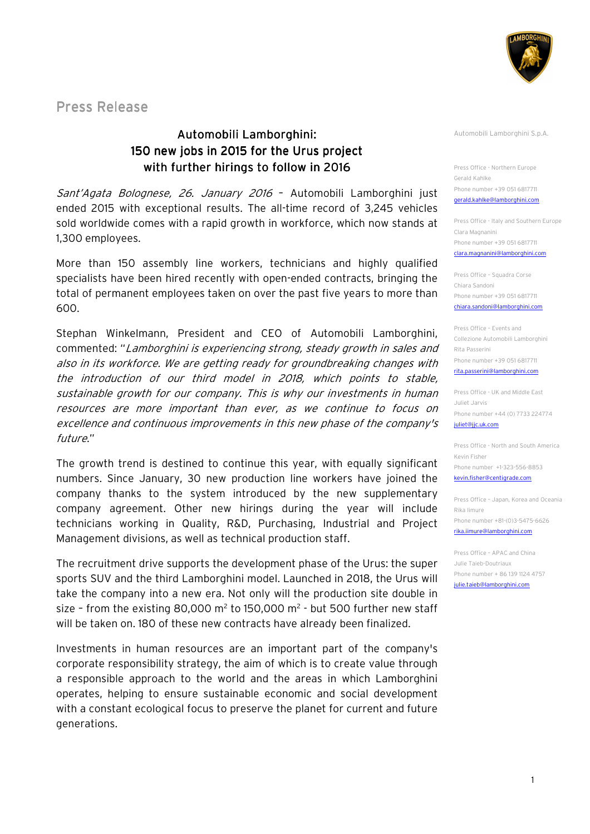

Press Release

## Automobili Lamborghini: Lamborghini: 150 new jobs in 2015 for the Urus project with further hirings to follow in 2016

Sant'Agata Bolognese, 26. January 2016 - Automobili Lamborghini just ended 2015 with exceptional results. The all-time record of 3,245 vehicles sold worldwide comes with a rapid growth in workforce, which now stands at 1,300 employees.

More than 150 assembly line workers, technicians and highly qualified specialists have been hired recently with open-ended contracts, bringing the total of permanent employees taken on over the past five years to more than 600.

Stephan Winkelmann, President and CEO of Automobili Lamborghini, commented: "Lamborghini is experiencing strong, steady growth in sales and also in its workforce. We are getting ready for groundbreaking changes with the introduction of our third model in 2018, which points to stable, sustainable growth for our company. This is why our investments in human resources are more important than ever, as we continue to focus on excellence and continuous improvements in this new phase of the company's future."

The growth trend is destined to continue this year, with equally significant numbers. Since January, 30 new production line workers have joined the company thanks to the system introduced by the new supplementary company agreement. Other new hirings during the year will include technicians working in Quality, R&D, Purchasing, Industrial and Project Management divisions, as well as technical production staff.

The recruitment drive supports the development phase of the Urus: the super sports SUV and the third Lamborghini model. Launched in 2018, the Urus will take the company into a new era. Not only will the production site double in size - from the existing 80,000 m<sup>2</sup> to 150,000 m<sup>2</sup> - but 500 further new staff will be taken on. 180 of these new contracts have already been finalized.

Investments in human resources are an important part of the company's corporate responsibility strategy, the aim of which is to create value through a responsible approach to the world and the areas in which Lamborghini operates, helping to ensure sustainable economic and social development with a constant ecological focus to preserve the planet for current and future generations.

Automobili Lamborghini S.p.A.

Press Office - Northern Europe Gerald Kahlke Phone number +39 051 6817711 gerald.kahlke@lamborghini.com

Press Office - Italy and Southern Europe Clara Magnanini Phone number +39 051 6817711 clara.magnanini@lamborghini.com

Press Office – Squadra Corse Chiara Sandoni Phone number +39 051 6817711 chiara.sandoni@lamborghini.com

Press Office – Events and Collezione Automobili Lamborghini Rita Passerini Phone number +39 051 6817711 rita.passerini@lamborghini.com

Press Office - UK and Middle East Juliet Jarvis Phone number +44 (0) 7733 224774 juliet@jjc.uk.com

Press Office - North and South America Kevin Fisher Phone number +1-323-556-8853 kevin.fisher@centigra

Press Office – Japan, Korea and Oceania Rika Iimure Phone number +81-(0)3-5475-6626 rika.iimure@lamborghini.com

Press Office – APAC and China Julie Taieb-Doutriaux Phone number + 86 139 1124 4757 julie.taieb@lamborghini.com